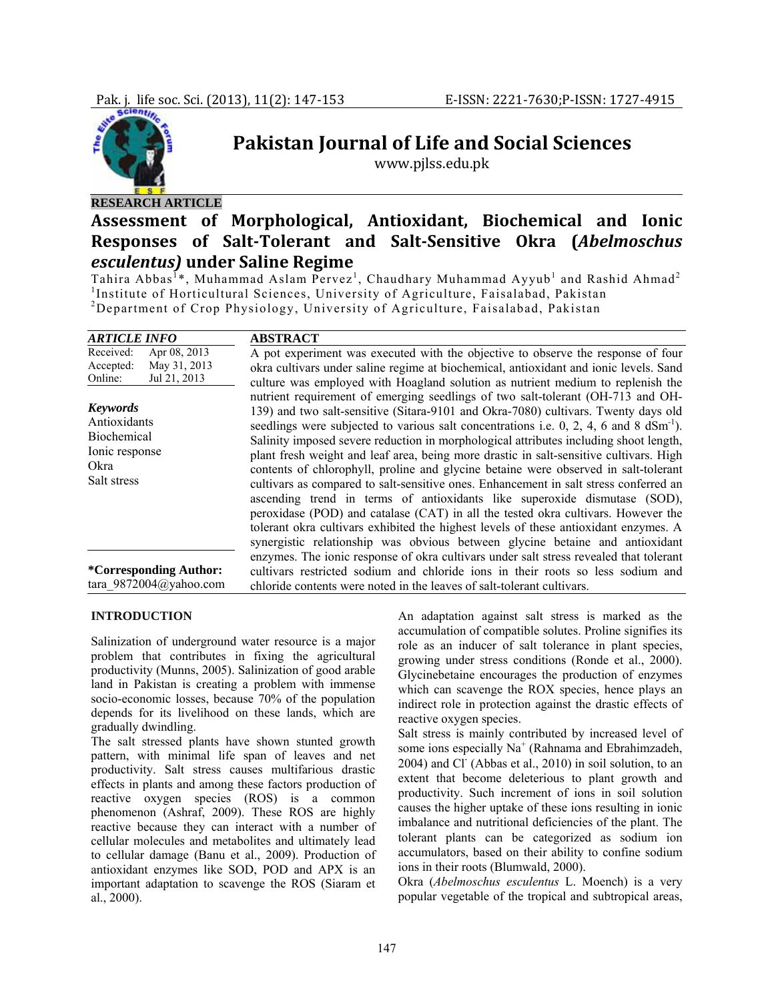

## **RESEARCH ARTICLE**

# **Pakistan Journal of Life and Social Sciences**

www.pjlss.edu.pk

## **Assessment of Morphological, Antioxidant, Biochemical and Ionic Responses of SaltTolerant and SaltSensitive Okra (***Abelmoschus esculentus)* **under Saline Regime**

Tahira Abbas<sup>1</sup>\*, Muhammad Aslam Pervez<sup>1</sup>, Chaudhary Muhammad Ayyub<sup>1</sup> and Rashid Ahmad<sup>2</sup> <sup>1</sup>Institute of Horticultural Sciences, University of Agriculture, Faisalabad, Pakistan <sup>2</sup><br><sup>2</sup>Department of Gron Physiology, University of Agriculture, Faisalabad, Pakistan Department of Crop Physiology, University of Agriculture, Faisalabad, Pakistan

| <i><b>ARTICLE INFO</b></i>                                                              | <b>ABSTRACT</b>                                                                                                                                                                                                                                                                                                                                                                                                                                                                                                                                                                                                                                                                                                                                                                                                                                                                                                                                                                   |
|-----------------------------------------------------------------------------------------|-----------------------------------------------------------------------------------------------------------------------------------------------------------------------------------------------------------------------------------------------------------------------------------------------------------------------------------------------------------------------------------------------------------------------------------------------------------------------------------------------------------------------------------------------------------------------------------------------------------------------------------------------------------------------------------------------------------------------------------------------------------------------------------------------------------------------------------------------------------------------------------------------------------------------------------------------------------------------------------|
| Received:<br>Apr 08, 2013<br>May 31, 2013<br>Accepted:<br>Jul 21, 2013<br>Online:       | A pot experiment was executed with the objective to observe the response of four<br>okra cultivars under saline regime at biochemical, antioxidant and ionic levels. Sand<br>culture was employed with Hoagland solution as nutrient medium to replenish the                                                                                                                                                                                                                                                                                                                                                                                                                                                                                                                                                                                                                                                                                                                      |
| <b>Keywords</b><br>Antioxidants<br>Biochemical<br>Ionic response<br>Okra<br>Salt stress | nutrient requirement of emerging seedlings of two salt-tolerant (OH-713 and OH-<br>139) and two salt-sensitive (Sitara-9101 and Okra-7080) cultivars. Twenty days old<br>seedlings were subjected to various salt concentrations i.e. 0, 2, 4, 6 and 8 $dSm^{-1}$ ).<br>Salinity imposed severe reduction in morphological attributes including shoot length,<br>plant fresh weight and leaf area, being more drastic in salt-sensitive cultivars. High<br>contents of chlorophyll, proline and glycine betaine were observed in salt-tolerant<br>cultivars as compared to salt-sensitive ones. Enhancement in salt stress conferred an<br>ascending trend in terms of antioxidants like superoxide dismutase (SOD),<br>peroxidase (POD) and catalase (CAT) in all the tested okra cultivars. However the<br>tolerant okra cultivars exhibited the highest levels of these antioxidant enzymes. A<br>synergistic relationship was obvious between glycine betaine and antioxidant |
| <i>*Corresponding Author:</i><br>tara 9872004@yahoo.com                                 | enzymes. The ionic response of okra cultivars under salt stress revealed that tolerant<br>cultivars restricted sodium and chloride ions in their roots so less sodium and<br>chloride contents were noted in the leaves of salt-tolerant cultivars.                                                                                                                                                                                                                                                                                                                                                                                                                                                                                                                                                                                                                                                                                                                               |

#### **INTRODUCTION**

Salinization of underground water resource is a major problem that contributes in fixing the agricultural productivity (Munns, 2005). Salinization of good arable land in Pakistan is creating a problem with immense socio-economic losses, because 70% of the population depends for its livelihood on these lands, which are gradually dwindling.

The salt stressed plants have shown stunted growth pattern, with minimal life span of leaves and net productivity. Salt stress causes multifarious drastic effects in plants and among these factors production of reactive oxygen species (ROS) is a common phenomenon (Ashraf, 2009). These ROS are highly reactive because they can interact with a number of cellular molecules and metabolites and ultimately lead to cellular damage (Banu et al., 2009). Production of antioxidant enzymes like SOD, POD and APX is an important adaptation to scavenge the ROS (Siaram et al., 2000).

An adaptation against salt stress is marked as the accumulation of compatible solutes. Proline signifies its role as an inducer of salt tolerance in plant species, growing under stress conditions (Ronde et al., 2000). Glycinebetaine encourages the production of enzymes which can scavenge the ROX species, hence plays an indirect role in protection against the drastic effects of reactive oxygen species.

Salt stress is mainly contributed by increased level of some ions especially  $Na^+$  (Rahnama and Ebrahimzadeh, 2004) and Cl<sup>-</sup> (Abbas et al., 2010) in soil solution, to an extent that become deleterious to plant growth and productivity. Such increment of ions in soil solution causes the higher uptake of these ions resulting in ionic imbalance and nutritional deficiencies of the plant. The tolerant plants can be categorized as sodium ion accumulators, based on their ability to confine sodium ions in their roots (Blumwald, 2000).

Okra (*Abelmoschus esculentus* L. Moench) is a very popular vegetable of the tropical and subtropical areas,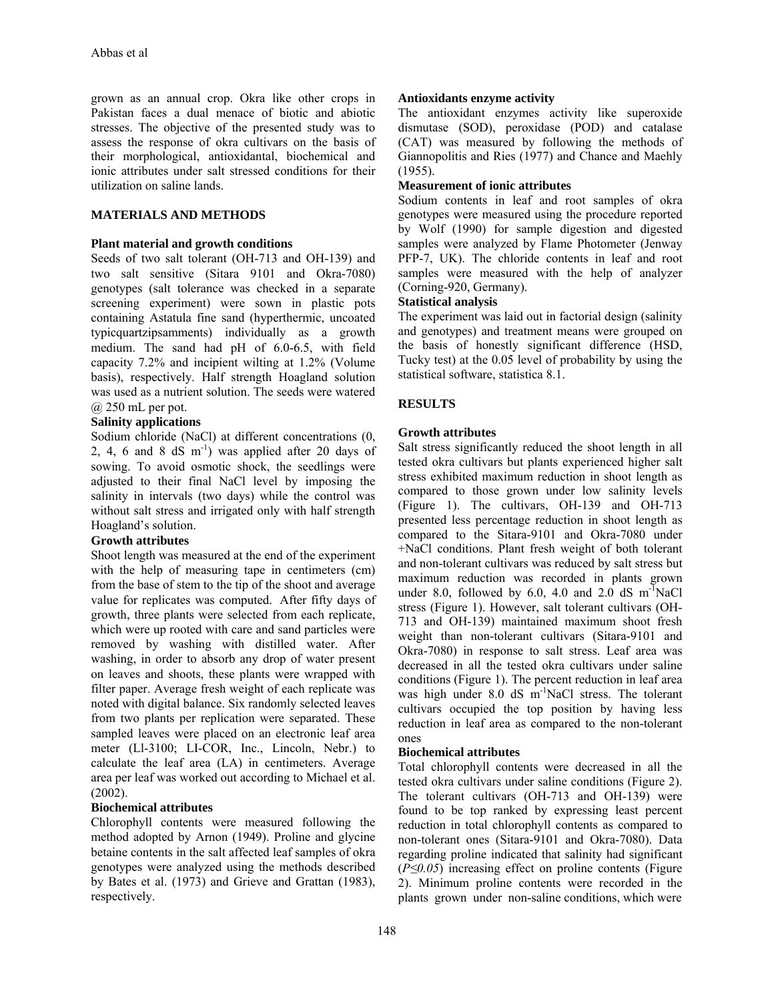grown as an annual crop. Okra like other crops in Pakistan faces a dual menace of biotic and abiotic stresses. The objective of the presented study was to assess the response of okra cultivars on the basis of their morphological, antioxidantal, biochemical and ionic attributes under salt stressed conditions for their utilization on saline lands.

## **MATERIALS AND METHODS**

### **Plant material and growth conditions**

Seeds of two salt tolerant (OH-713 and OH-139) and two salt sensitive (Sitara 9101 and Okra-7080) genotypes (salt tolerance was checked in a separate screening experiment) were sown in plastic pots containing Astatula fine sand (hyperthermic, uncoated typicquartzipsamments) individually as a growth medium. The sand had pH of 6.0-6.5, with field capacity 7.2% and incipient wilting at 1.2% (Volume basis), respectively. Half strength Hoagland solution was used as a nutrient solution. The seeds were watered @ 250 mL per pot.

## **Salinity applications**

Sodium chloride (NaCl) at different concentrations (0, 2, 4, 6 and 8 dS  $m^{-1}$ ) was applied after 20 days of sowing. To avoid osmotic shock, the seedlings were adjusted to their final NaCl level by imposing the salinity in intervals (two days) while the control was without salt stress and irrigated only with half strength Hoagland's solution.

#### **Growth attributes**

Shoot length was measured at the end of the experiment with the help of measuring tape in centimeters (cm) from the base of stem to the tip of the shoot and average value for replicates was computed. After fifty days of growth, three plants were selected from each replicate, which were up rooted with care and sand particles were removed by washing with distilled water. After washing, in order to absorb any drop of water present on leaves and shoots, these plants were wrapped with filter paper. Average fresh weight of each replicate was noted with digital balance. Six randomly selected leaves from two plants per replication were separated. These sampled leaves were placed on an electronic leaf area meter (Ll-3100; LI-COR, Inc., Lincoln, Nebr.) to calculate the leaf area (LA) in centimeters. Average area per leaf was worked out according to Michael et al. (2002).

## **Biochemical attributes**

Chlorophyll contents were measured following the method adopted by Arnon (1949). Proline and glycine betaine contents in the salt affected leaf samples of okra genotypes were analyzed using the methods described by Bates et al. (1973) and Grieve and Grattan (1983), respectively.

### **Antioxidants enzyme activity**

The antioxidant enzymes activity like superoxide dismutase (SOD), peroxidase (POD) and catalase (CAT) was measured by following the methods of Giannopolitis and Ries (1977) and Chance and Maehly (1955).

## **Measurement of ionic attributes**

Sodium contents in leaf and root samples of okra genotypes were measured using the procedure reported by Wolf (1990) for sample digestion and digested samples were analyzed by Flame Photometer (Jenway PFP-7, UK). The chloride contents in leaf and root samples were measured with the help of analyzer (Corning-920, Germany).

### **Statistical analysis**

The experiment was laid out in factorial design (salinity and genotypes) and treatment means were grouped on the basis of honestly significant difference (HSD, Tucky test) at the 0.05 level of probability by using the statistical software, statistica 8.1.

## **RESULTS**

### **Growth attributes**

Salt stress significantly reduced the shoot length in all tested okra cultivars but plants experienced higher salt stress exhibited maximum reduction in shoot length as compared to those grown under low salinity levels (Figure 1). The cultivars, OH-139 and OH-713 presented less percentage reduction in shoot length as compared to the Sitara-9101 and Okra-7080 under +NaCl conditions. Plant fresh weight of both tolerant and non-tolerant cultivars was reduced by salt stress but maximum reduction was recorded in plants grown under 8.0, followed by 6.0, 4.0 and 2.0 dS  $m^{-1}$ NaCl stress (Figure 1). However, salt tolerant cultivars (OH-713 and OH-139) maintained maximum shoot fresh weight than non-tolerant cultivars (Sitara-9101 and Okra-7080) in response to salt stress. Leaf area was decreased in all the tested okra cultivars under saline conditions (Figure 1). The percent reduction in leaf area was high under 8.0 dS m<sup>-1</sup>NaCl stress. The tolerant cultivars occupied the top position by having less reduction in leaf area as compared to the non-tolerant ones

## **Biochemical attributes**

Total chlorophyll contents were decreased in all the tested okra cultivars under saline conditions (Figure 2). The tolerant cultivars (OH-713 and OH-139) were found to be top ranked by expressing least percent reduction in total chlorophyll contents as compared to non-tolerant ones (Sitara-9101 and Okra-7080). Data regarding proline indicated that salinity had significant (*P≤0.05*) increasing effect on proline contents (Figure 2). Minimum proline contents were recorded in the plants grown under non-saline conditions, which were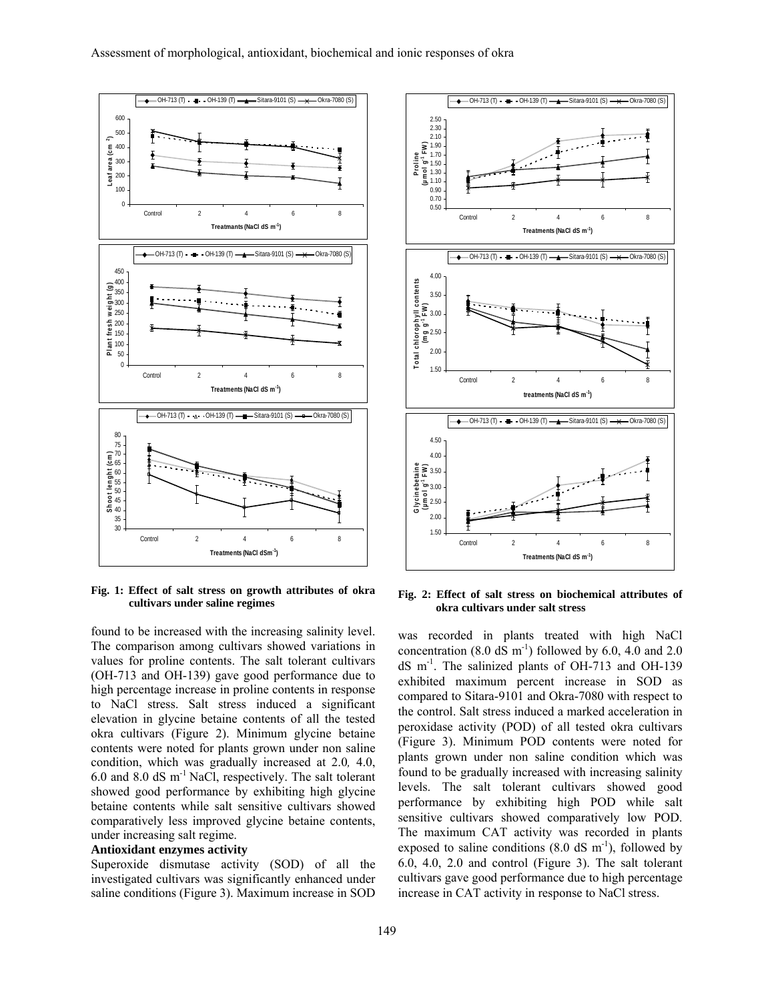

**Fig. 1: Effect of salt stress on growth attributes of okra cultivars under saline regimes** 

found to be increased with the increasing salinity level. The comparison among cultivars showed variations in values for proline contents. The salt tolerant cultivars (OH-713 and OH-139) gave good performance due to high percentage increase in proline contents in response to NaCl stress. Salt stress induced a significant elevation in glycine betaine contents of all the tested okra cultivars (Figure 2). Minimum glycine betaine contents were noted for plants grown under non saline condition, which was gradually increased at 2.0*,* 4.0, 6.0 and 8.0 dS m-1 NaCl, respectively. The salt tolerant showed good performance by exhibiting high glycine betaine contents while salt sensitive cultivars showed comparatively less improved glycine betaine contents, under increasing salt regime.

#### **Antioxidant enzymes activity**

Superoxide dismutase activity (SOD) of all the investigated cultivars was significantly enhanced under saline conditions (Figure 3). Maximum increase in SOD



**Fig. 2: Effect of salt stress on biochemical attributes of okra cultivars under salt stress** 

was recorded in plants treated with high NaCl concentration (8.0 dS  $\text{m}^{-1}$ ) followed by 6.0, 4.0 and 2.0 dS m-1. The salinized plants of OH-713 and OH-139 exhibited maximum percent increase in SOD as compared to Sitara-9101 and Okra-7080 with respect to the control. Salt stress induced a marked acceleration in peroxidase activity (POD) of all tested okra cultivars (Figure 3). Minimum POD contents were noted for plants grown under non saline condition which was found to be gradually increased with increasing salinity levels. The salt tolerant cultivars showed good performance by exhibiting high POD while salt sensitive cultivars showed comparatively low POD. The maximum CAT activity was recorded in plants exposed to saline conditions  $(8.0 \text{ dS m}^{-1})$ , followed by 6.0, 4.0, 2.0 and control (Figure 3). The salt tolerant cultivars gave good performance due to high percentage increase in CAT activity in response to NaCl stress.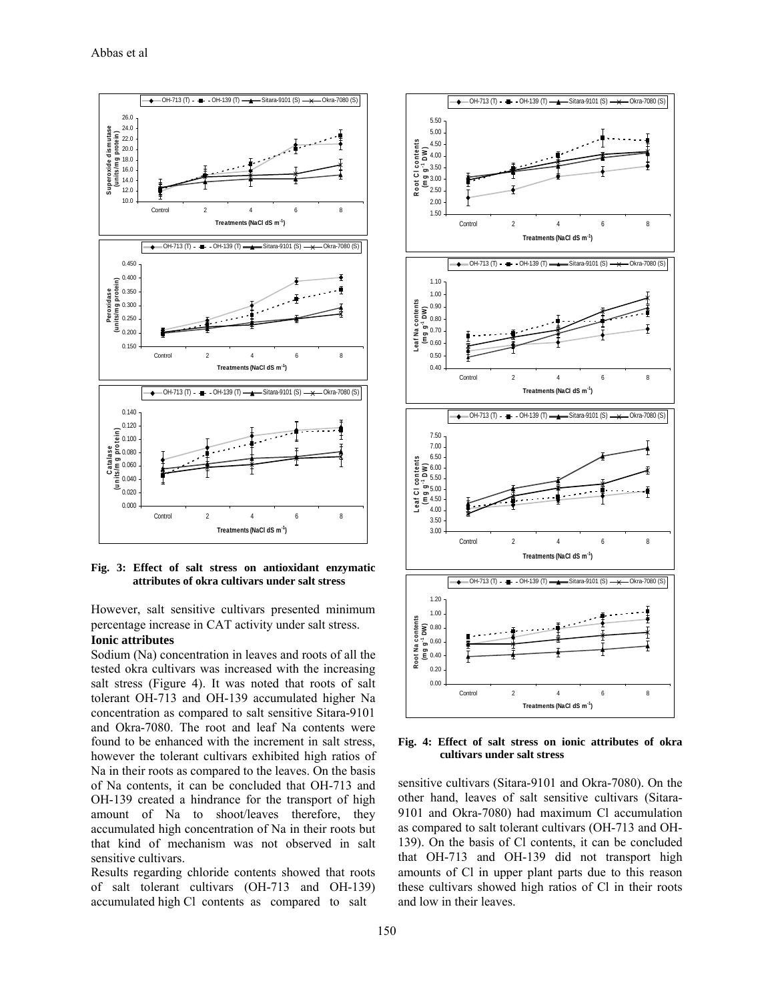

**Fig. 3: Effect of salt stress on antioxidant enzymatic attributes of okra cultivars under salt stress** 

However, salt sensitive cultivars presented minimum percentage increase in CAT activity under salt stress.

#### **Ionic attributes**

Sodium (Na) concentration in leaves and roots of all the tested okra cultivars was increased with the increasing salt stress (Figure 4). It was noted that roots of salt tolerant OH-713 and OH-139 accumulated higher Na concentration as compared to salt sensitive Sitara-9101 and Okra-7080. The root and leaf Na contents were found to be enhanced with the increment in salt stress, however the tolerant cultivars exhibited high ratios of Na in their roots as compared to the leaves. On the basis of Na contents, it can be concluded that OH-713 and OH-139 created a hindrance for the transport of high amount of Na to shoot/leaves therefore, they accumulated high concentration of Na in their roots but that kind of mechanism was not observed in salt sensitive cultivars.

Results regarding chloride contents showed that roots of salt tolerant cultivars (OH-713 and OH-139) accumulated high Cl contents as compared to salt



**Fig. 4: Effect of salt stress on ionic attributes of okra cultivars under salt stress** 

sensitive cultivars (Sitara-9101 and Okra-7080). On the other hand, leaves of salt sensitive cultivars (Sitara-9101 and Okra-7080) had maximum Cl accumulation as compared to salt tolerant cultivars (OH-713 and OH-139). On the basis of Cl contents, it can be concluded that OH-713 and OH-139 did not transport high amounts of Cl in upper plant parts due to this reason these cultivars showed high ratios of Cl in their roots and low in their leaves.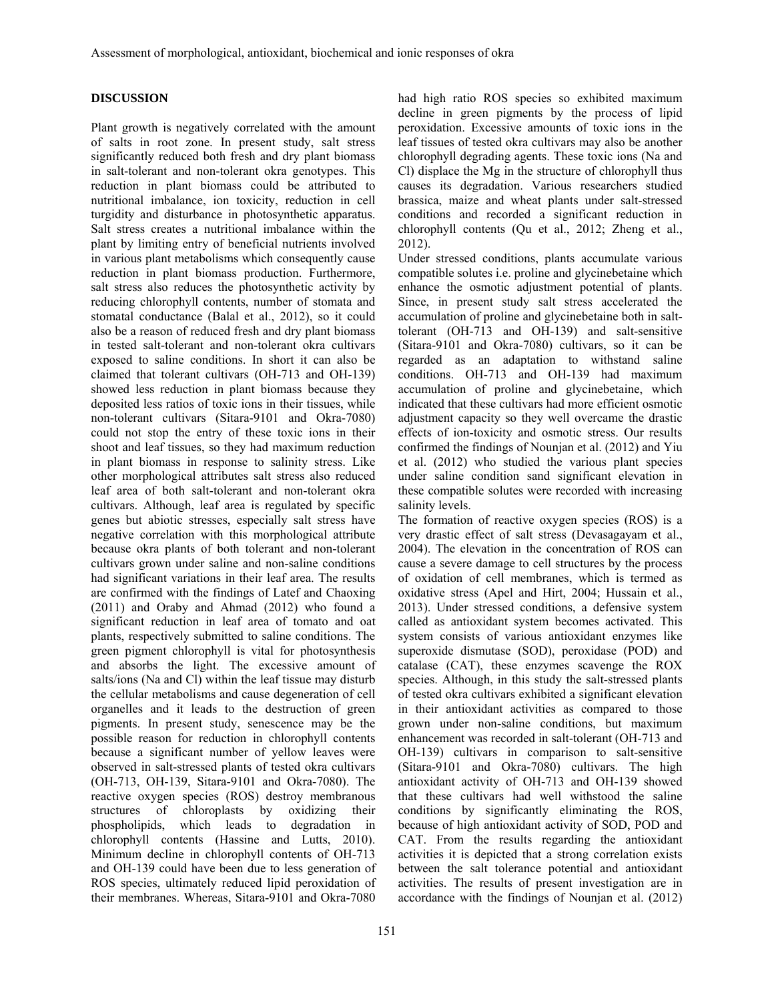## **DISCUSSION**

Plant growth is negatively correlated with the amount of salts in root zone. In present study, salt stress significantly reduced both fresh and dry plant biomass in salt-tolerant and non-tolerant okra genotypes. This reduction in plant biomass could be attributed to nutritional imbalance, ion toxicity, reduction in cell turgidity and disturbance in photosynthetic apparatus. Salt stress creates a nutritional imbalance within the plant by limiting entry of beneficial nutrients involved in various plant metabolisms which consequently cause reduction in plant biomass production. Furthermore, salt stress also reduces the photosynthetic activity by reducing chlorophyll contents, number of stomata and stomatal conductance (Balal et al., 2012), so it could also be a reason of reduced fresh and dry plant biomass in tested salt-tolerant and non-tolerant okra cultivars exposed to saline conditions. In short it can also be claimed that tolerant cultivars (OH-713 and OH-139) showed less reduction in plant biomass because they deposited less ratios of toxic ions in their tissues, while non-tolerant cultivars (Sitara-9101 and Okra-7080) could not stop the entry of these toxic ions in their shoot and leaf tissues, so they had maximum reduction in plant biomass in response to salinity stress. Like other morphological attributes salt stress also reduced leaf area of both salt-tolerant and non-tolerant okra cultivars. Although, leaf area is regulated by specific genes but abiotic stresses, especially salt stress have negative correlation with this morphological attribute because okra plants of both tolerant and non-tolerant cultivars grown under saline and non-saline conditions had significant variations in their leaf area. The results are confirmed with the findings of Latef and Chaoxing (2011) and Oraby and Ahmad (2012) who found a significant reduction in leaf area of tomato and oat plants, respectively submitted to saline conditions. The green pigment chlorophyll is vital for photosynthesis and absorbs the light. The excessive amount of salts/ions (Na and Cl) within the leaf tissue may disturb the cellular metabolisms and cause degeneration of cell organelles and it leads to the destruction of green pigments. In present study, senescence may be the possible reason for reduction in chlorophyll contents because a significant number of yellow leaves were observed in salt-stressed plants of tested okra cultivars (OH-713, OH-139, Sitara-9101 and Okra-7080). The reactive oxygen species (ROS) destroy membranous structures of chloroplasts by oxidizing their phospholipids, which leads to degradation in chlorophyll contents (Hassine and Lutts, 2010). Minimum decline in chlorophyll contents of OH-713 and OH-139 could have been due to less generation of ROS species, ultimately reduced lipid peroxidation of their membranes. Whereas, Sitara-9101 and Okra-7080

had high ratio ROS species so exhibited maximum decline in green pigments by the process of lipid peroxidation. Excessive amounts of toxic ions in the leaf tissues of tested okra cultivars may also be another chlorophyll degrading agents. These toxic ions (Na and Cl) displace the Mg in the structure of chlorophyll thus causes its degradation. Various researchers studied brassica, maize and wheat plants under salt-stressed conditions and recorded a significant reduction in chlorophyll contents (Qu et al., 2012; Zheng et al., 2012).

Under stressed conditions, plants accumulate various compatible solutes i.e. proline and glycinebetaine which enhance the osmotic adjustment potential of plants. Since, in present study salt stress accelerated the accumulation of proline and glycinebetaine both in salttolerant (OH-713 and OH-139) and salt-sensitive (Sitara-9101 and Okra-7080) cultivars, so it can be regarded as an adaptation to withstand saline conditions. OH-713 and OH-139 had maximum accumulation of proline and glycinebetaine, which indicated that these cultivars had more efficient osmotic adjustment capacity so they well overcame the drastic effects of ion-toxicity and osmotic stress. Our results confirmed the findings of Nounjan et al. (2012) and Yiu et al. (2012) who studied the various plant species under saline condition sand significant elevation in these compatible solutes were recorded with increasing salinity levels.

The formation of reactive oxygen species (ROS) is a very drastic effect of salt stress (Devasagayam et al., 2004). The elevation in the concentration of ROS can cause a severe damage to cell structures by the process of oxidation of cell membranes, which is termed as oxidative stress (Apel and Hirt, 2004; Hussain et al., 2013). Under stressed conditions, a defensive system called as antioxidant system becomes activated. This system consists of various antioxidant enzymes like superoxide dismutase (SOD), peroxidase (POD) and catalase (CAT), these enzymes scavenge the ROX species. Although, in this study the salt-stressed plants of tested okra cultivars exhibited a significant elevation in their antioxidant activities as compared to those grown under non-saline conditions, but maximum enhancement was recorded in salt-tolerant (OH-713 and OH-139) cultivars in comparison to salt-sensitive (Sitara-9101 and Okra-7080) cultivars. The high antioxidant activity of OH-713 and OH-139 showed that these cultivars had well withstood the saline conditions by significantly eliminating the ROS, because of high antioxidant activity of SOD, POD and CAT. From the results regarding the antioxidant activities it is depicted that a strong correlation exists between the salt tolerance potential and antioxidant activities. The results of present investigation are in accordance with the findings of Nounjan et al. (2012)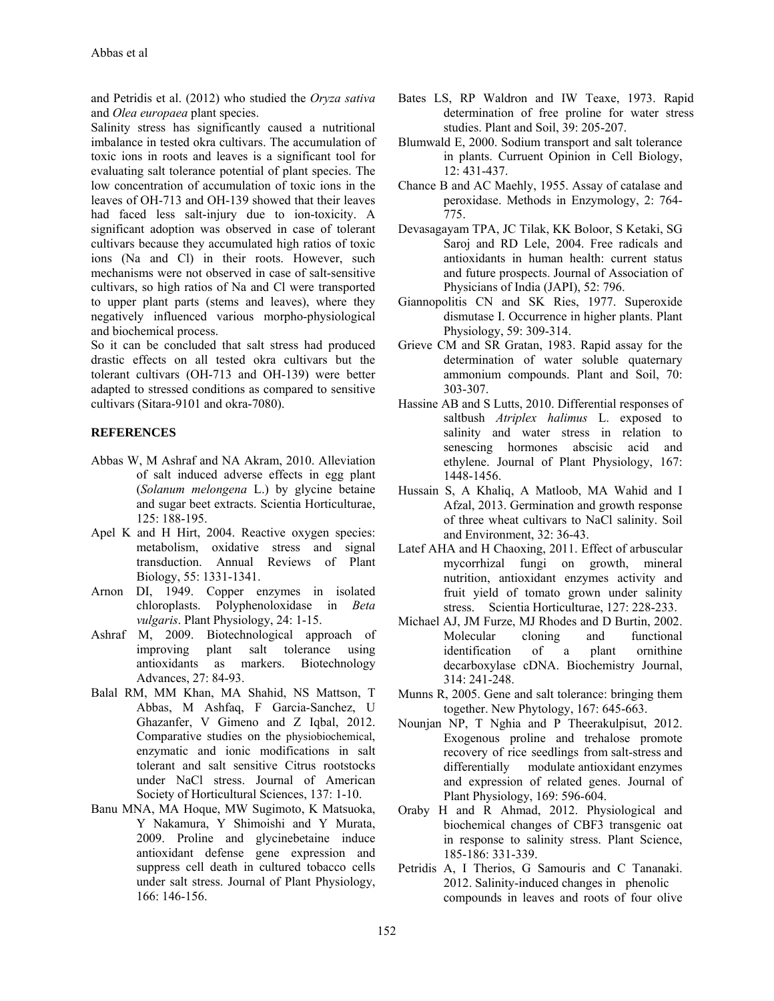and Petridis et al. (2012) who studied the *Oryza sativa*  and *Olea europaea* plant species.

Salinity stress has significantly caused a nutritional imbalance in tested okra cultivars. The accumulation of toxic ions in roots and leaves is a significant tool for evaluating salt tolerance potential of plant species. The low concentration of accumulation of toxic ions in the leaves of OH-713 and OH-139 showed that their leaves had faced less salt-injury due to ion-toxicity. A significant adoption was observed in case of tolerant cultivars because they accumulated high ratios of toxic ions (Na and Cl) in their roots. However, such mechanisms were not observed in case of salt-sensitive cultivars, so high ratios of Na and Cl were transported to upper plant parts (stems and leaves), where they negatively influenced various morpho-physiological and biochemical process.

So it can be concluded that salt stress had produced drastic effects on all tested okra cultivars but the tolerant cultivars (OH-713 and OH-139) were better adapted to stressed conditions as compared to sensitive cultivars (Sitara-9101 and okra-7080).

#### **REFERENCES**

- Abbas W, M Ashraf and NA Akram, 2010. Alleviation of salt induced adverse effects in egg plant (*Solanum melongena* L.) by glycine betaine and sugar beet extracts. Scientia Horticulturae, 125: 188-195.
- Apel K and H Hirt, 2004. Reactive oxygen species: metabolism, oxidative stress and signal transduction. Annual Reviews of Plant Biology, 55: 1331-1341.
- Arnon DI, 1949. Copper enzymes in isolated chloroplasts. Polyphenoloxidase in *Beta vulgaris*. Plant Physiology, 24: 1-15.
- Ashraf M, 2009. Biotechnological approach of improving plant salt tolerance using antioxidants as markers. Biotechnology Advances, 27: 84-93.
- Balal RM, MM Khan, MA Shahid, NS Mattson, T Abbas, M Ashfaq, F Garcia-Sanchez, U Ghazanfer, V Gimeno and Z Iqbal, 2012. Comparative studies on the physiobiochemical, enzymatic and ionic modifications in salt tolerant and salt sensitive Citrus rootstocks under NaCl stress. Journal of American Society of Horticultural Sciences, 137: 1-10.
- Banu MNA, MA Hoque, MW Sugimoto, K Matsuoka, Y Nakamura, Y Shimoishi and Y Murata, 2009. Proline and glycinebetaine induce antioxidant defense gene expression and suppress cell death in cultured tobacco cells under salt stress. Journal of Plant Physiology, 166: 146-156.
- Bates LS, RP Waldron and IW Teaxe, 1973. Rapid determination of free proline for water stress studies. Plant and Soil, 39: 205-207.
- Blumwald E, 2000. Sodium transport and salt tolerance in plants. Curruent Opinion in Cell Biology, 12: 431-437.
- Chance B and AC Maehly, 1955. Assay of catalase and peroxidase. Methods in Enzymology, 2: 764- 775.
- Devasagayam TPA, JC Tilak, KK Boloor, S Ketaki, SG Saroj and RD Lele, 2004. Free radicals and antioxidants in human health: current status and future prospects. Journal of Association of Physicians of India (JAPI), 52: 796.
- Giannopolitis CN and SK Ries, 1977. Superoxide dismutase I. Occurrence in higher plants. Plant Physiology, 59: 309-314.
- Grieve CM and SR Gratan, 1983. Rapid assay for the determination of water soluble quaternary ammonium compounds. Plant and Soil, 70: 303-307.
- Hassine AB and S Lutts, 2010. Differential responses of saltbush *Atriplex halimus* L. exposed to salinity and water stress in relation to senescing hormones abscisic acid and ethylene. Journal of Plant Physiology, 167: 1448-1456.
- Hussain S, A Khaliq, A Matloob, MA Wahid and I Afzal, 2013. Germination and growth response of three wheat cultivars to NaCl salinity. Soil and Environment, 32: 36-43.
- Latef AHA and H Chaoxing, 2011. Effect of arbuscular mycorrhizal fungi on growth, mineral nutrition, antioxidant enzymes activity and fruit yield of tomato grown under salinity stress. Scientia Horticulturae, 127: 228-233.
- Michael AJ, JM Furze, MJ Rhodes and D Burtin, 2002. Molecular cloning and functional identification of a plant ornithine decarboxylase cDNA. Biochemistry Journal, 314: 241-248.
- Munns R, 2005. Gene and salt tolerance: bringing them together. New Phytology, 167: 645-663.
- Nounjan NP, T Nghia and P Theerakulpisut, 2012. Exogenous proline and trehalose promote recovery of rice seedlings from salt-stress and differentially modulate antioxidant enzymes and expression of related genes. Journal of Plant Physiology, 169: 596-604.
- Oraby H and R Ahmad, 2012. Physiological and biochemical changes of CBF3 transgenic oat in response to salinity stress. Plant Science, 185-186: 331-339.
- Petridis A, I Therios, G Samouris and C Tananaki. 2012. Salinity-induced changes in phenolic compounds in leaves and roots of four olive